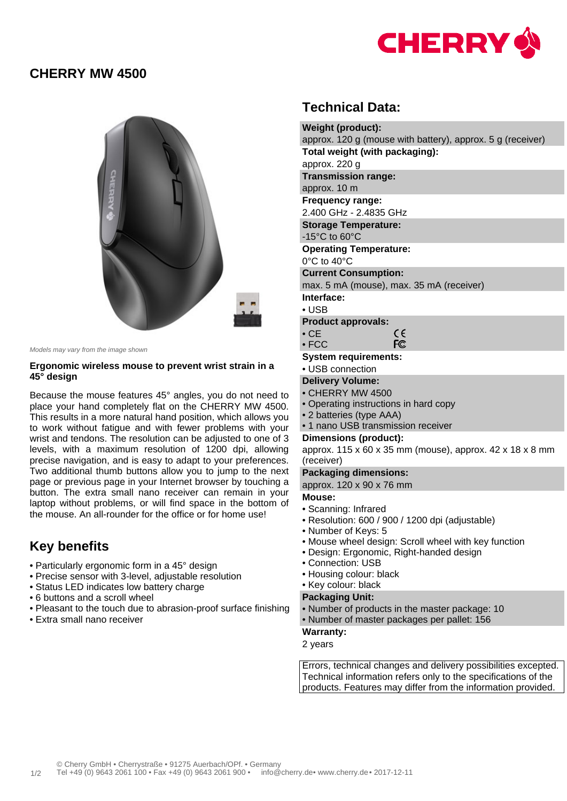

### **CHERRY MW 4500**



Models may vary from the image shown

#### **Ergonomic wireless mouse to prevent wrist strain in a 45° design**

Because the mouse features 45° angles, you do not need to place your hand completely flat on the CHERRY MW 4500. This results in a more natural hand position, which allows you to work without fatigue and with fewer problems with your wrist and tendons. The resolution can be adjusted to one of 3 levels, with a maximum resolution of 1200 dpi, allowing precise navigation, and is easy to adapt to your preferences. Two additional thumb buttons allow you to jump to the next page or previous page in your Internet browser by touching a button. The extra small nano receiver can remain in your laptop without problems, or will find space in the bottom of the mouse. An all-rounder for the office or for home use!

# **Key benefits**

- Particularly ergonomic form in a 45° design
- Precise sensor with 3-level, adjustable resolution
- Status LED indicates low battery charge
- 6 buttons and a scroll wheel
- Pleasant to the touch due to abrasion-proof surface finishing
- Extra small nano receiver

## **Technical Data:**

| <b>Weight (product):</b>                                   |  |  |  |  |
|------------------------------------------------------------|--|--|--|--|
| approx. 120 g (mouse with battery), approx. 5 g (receiver) |  |  |  |  |
| Total weight (with packaging):                             |  |  |  |  |
| approx. 220 g                                              |  |  |  |  |
| <b>Transmission range:</b>                                 |  |  |  |  |
| approx. 10 m                                               |  |  |  |  |
| <b>Frequency range:</b>                                    |  |  |  |  |
| 2.400 GHz - 2.4835 GHz                                     |  |  |  |  |
| <b>Storage Temperature:</b>                                |  |  |  |  |
| $-15^{\circ}$ C to 60 $^{\circ}$ C                         |  |  |  |  |
| <b>Operating Temperature:</b>                              |  |  |  |  |
| $0^{\circ}$ C to 40 $^{\circ}$ C                           |  |  |  |  |
| <b>Current Consumption:</b>                                |  |  |  |  |
| max. 5 mA (mouse), max. 35 mA (receiver)                   |  |  |  |  |
| Interface:                                                 |  |  |  |  |
| $\cdot$ USB                                                |  |  |  |  |
| <b>Product approvals:</b>                                  |  |  |  |  |
| ce<br>$\cdot$ CE                                           |  |  |  |  |
| <b>FC</b><br>$\bullet$ FCC                                 |  |  |  |  |
| <b>System requirements:</b>                                |  |  |  |  |
| • USB connection                                           |  |  |  |  |
| <b>Delivery Volume:</b>                                    |  |  |  |  |

- CHERRY MW 4500
- Operating instructions in hard copy
- 2 batteries (type AAA)
- 1 nano USB transmission receiver

#### **Dimensions (product):**

approx. 115 x 60 x 35 mm (mouse), approx. 42 x 18 x 8 mm (receiver)

#### **Packaging dimensions:**

approx. 120 x 90 x 76 mm

#### **Mouse:**

- Scanning: Infrared
- Resolution: 600 / 900 / 1200 dpi (adjustable)
- Number of Keys: 5
- Mouse wheel design: Scroll wheel with key function
- Design: Ergonomic, Right-handed design
- Connection: USB
- Housing colour: black
- Key colour: black

#### **Packaging Unit:**

- Number of products in the master package: 10
- Number of master packages per pallet: 156

#### **Warranty:**

2 years

Errors, technical changes and delivery possibilities excepted. Technical information refers only to the specifications of the products. Features may differ from the information provided.